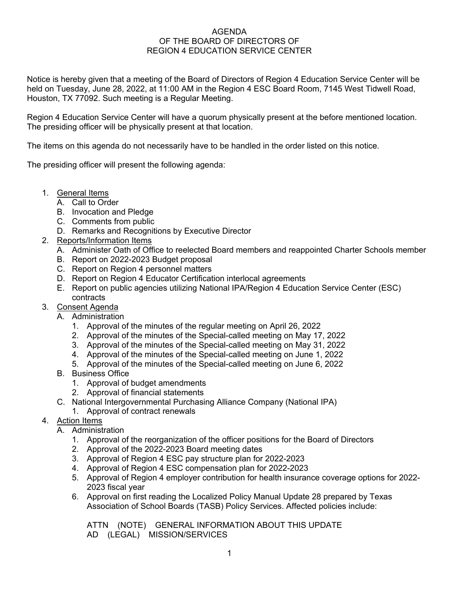## AGENDA OF THE BOARD OF DIRECTORS OF REGION 4 EDUCATION SERVICE CENTER

Notice is hereby given that a meeting of the Board of Directors of Region 4 Education Service Center will be held on Tuesday, June 28, 2022, at 11:00 AM in the Region 4 ESC Board Room, 7145 West Tidwell Road, Houston, TX 77092. Such meeting is a Regular Meeting.

Region 4 Education Service Center will have a quorum physically present at the before mentioned location. The presiding officer will be physically present at that location.

The items on this agenda do not necessarily have to be handled in the order listed on this notice.

The presiding officer will present the following agenda:

- 1. General Items
	- A. Call to Order
	- B. Invocation and Pledge
	- C. Comments from public
	- D. Remarks and Recognitions by Executive Director
- 2. Reports/Information Items
	- A. Administer Oath of Office to reelected Board members and reappointed Charter Schools member
	- B. Report on 2022-2023 Budget proposal
	- C. Report on Region 4 personnel matters
	- D. Report on Region 4 Educator Certification interlocal agreements
	- E. Report on public agencies utilizing National IPA/Region 4 Education Service Center (ESC) contracts
- 3. Consent Agenda
	- A. Administration
		- 1. Approval of the minutes of the regular meeting on April 26, 2022
		- 2. Approval of the minutes of the Special-called meeting on May 17, 2022
		- 3. Approval of the minutes of the Special-called meeting on May 31, 2022
		- 4. Approval of the minutes of the Special-called meeting on June 1, 2022
		- 5. Approval of the minutes of the Special-called meeting on June 6, 2022
	- B. Business Office
		- 1. Approval of budget amendments
		- 2. Approval of financial statements
	- C. National Intergovernmental Purchasing Alliance Company (National IPA)
		- 1. Approval of contract renewals
- 4. Action Items
	- A. Administration
		- 1. Approval of the reorganization of the officer positions for the Board of Directors
		- 2. Approval of the 2022-2023 Board meeting dates
		- 3. Approval of Region 4 ESC pay structure plan for 2022-2023
		- 4. Approval of Region 4 ESC compensation plan for 2022-2023
		- 5. Approval of Region 4 employer contribution for health insurance coverage options for 2022- 2023 fiscal year
		- 6. Approval on first reading the Localized Policy Manual Update 28 prepared by Texas Association of School Boards (TASB) Policy Services. Affected policies include:

ATTN (NOTE) GENERAL INFORMATION ABOUT THIS UPDATE AD (LEGAL) MISSION/SERVICES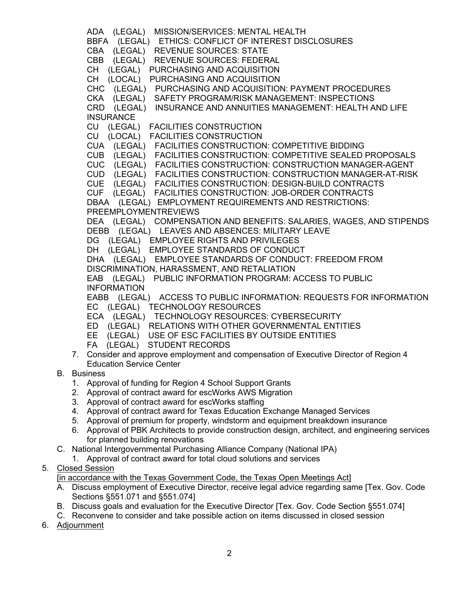ADA (LEGAL) MISSION/SERVICES: MENTAL HEALTH BBFA (LEGAL) ETHICS: CONFLICT OF INTEREST DISCLOSURES CBA (LEGAL) REVENUE SOURCES: STATE CBB (LEGAL) REVENUE SOURCES: FEDERAL CH (LEGAL) PURCHASING AND ACQUISITION CH (LOCAL) PURCHASING AND ACQUISITION CHC (LEGAL) PURCHASING AND ACQUISITION: PAYMENT PROCEDURES CKA (LEGAL) SAFETY PROGRAM/RISK MANAGEMENT: INSPECTIONS CRD (LEGAL) INSURANCE AND ANNUITIES MANAGEMENT: HEALTH AND LIFE **INSURANCE** CU (LEGAL) FACILITIES CONSTRUCTION CU (LOCAL) FACILITIES CONSTRUCTION CUA (LEGAL) FACILITIES CONSTRUCTION: COMPETITIVE BIDDING CUB (LEGAL) FACILITIES CONSTRUCTION: COMPETITIVE SEALED PROPOSALS CUC (LEGAL) FACILITIES CONSTRUCTION: CONSTRUCTION MANAGER-AGENT CUD (LEGAL) FACILITIES CONSTRUCTION: CONSTRUCTION MANAGER-AT-RISK CUE (LEGAL) FACILITIES CONSTRUCTION: DESIGN-BUILD CONTRACTS CUF (LEGAL) FACILITIES CONSTRUCTION: JOB-ORDER CONTRACTS DBAA (LEGAL) EMPLOYMENT REQUIREMENTS AND RESTRICTIONS: PREEMPLOYMENTREVIEWS DEA (LEGAL) COMPENSATION AND BENEFITS: SALARIES, WAGES, AND STIPENDS DEBB (LEGAL) LEAVES AND ABSENCES: MILITARY LEAVE DG (LEGAL) EMPLOYEE RIGHTS AND PRIVILEGES DH (LEGAL) EMPLOYEE STANDARDS OF CONDUCT DHA (LEGAL) EMPLOYEE STANDARDS OF CONDUCT: FREEDOM FROM DISCRIMINATION, HARASSMENT, AND RETALIATION EAB (LEGAL) PUBLIC INFORMATION PROGRAM: ACCESS TO PUBLIC INFORMATION EABB (LEGAL) ACCESS TO PUBLIC INFORMATION: REQUESTS FOR INFORMATION EC (LEGAL) TECHNOLOGY RESOURCES ECA (LEGAL) TECHNOLOGY RESOURCES: CYBERSECURITY ED (LEGAL) RELATIONS WITH OTHER GOVERNMENTAL ENTITIES EE (LEGAL) USE OF ESC FACILITIES BY OUTSIDE ENTITIES FA (LEGAL) STUDENT RECORDS 7. Consider and approve employment and compensation of Executive Director of Region 4 Education Service Center B. Business 1. Approval of funding for Region 4 School Support Grants 2. Approval of contract award for escWorks AWS Migration 3. Approval of contract award for escWorks staffing 4. Approval of contract award for Texas Education Exchange Managed Services 5. Approval of premium for property, windstorm and equipment breakdown insurance

- 6. Approval of PBK Architects to provide construction design, architect, and engineering services for planned building renovations
- C. National Intergovernmental Purchasing Alliance Company (National IPA)
	- 1. Approval of contract award for total cloud solutions and services

## 5. Closed Session

[in accordance with the Texas Government Code, the Texas Open Meetings Act]

- A. Discuss employment of Executive Director, receive legal advice regarding same [Tex. Gov. Code Sections §551.071 and §551.074]
- B. Discuss goals and evaluation for the Executive Director [Tex. Gov. Code Section §551.074]
- C. Reconvene to consider and take possible action on items discussed in closed session
- 6. Adjournment